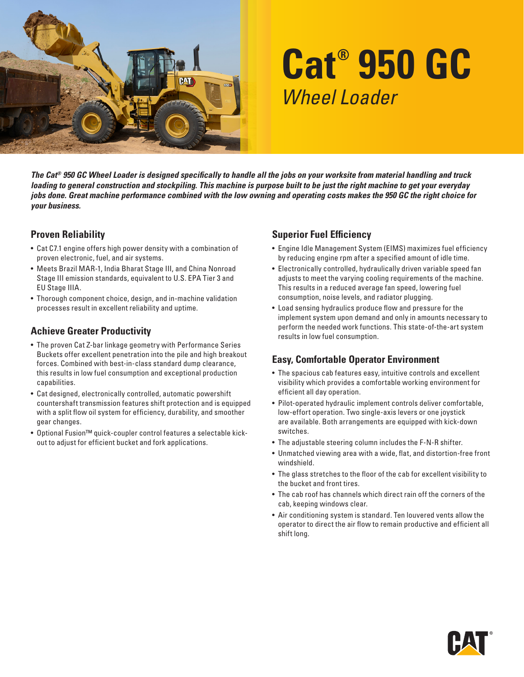

# **Cat® 950 GC** *Wheel Loader*

*The Cat® 950 GC Wheel Loader is designed specifically to handle all the jobs on your worksite from material handling and truck loading to general construction and stockpiling. This machine is purpose built to be just the right machine to get your everyday jobs done. Great machine performance combined with the low owning and operating costs makes the 950 GC the right choice for your business.*

### **Proven Reliability**

- Cat C7.1 engine offers high power density with a combination of proven electronic, fuel, and air systems.
- Meets Brazil MAR-1, India Bharat Stage III, and China Nonroad Stage III emission standards, equivalent to U.S. EPA Tier 3 and EU Stage IIIA.
- Thorough component choice, design, and in-machine validation processes result in excellent reliability and uptime.

## **Achieve Greater Productivity**

- The proven Cat Z-bar linkage geometry with Performance Series Buckets offer excellent penetration into the pile and high breakout forces. Combined with best-in-class standard dump clearance, this results in low fuel consumption and exceptional production capabilities.
- Cat designed, electronically controlled, automatic powershift countershaft transmission features shift protection and is equipped with a split flow oil system for efficiency, durability, and smoother gear changes.
- Optional Fusion™ quick-coupler control features a selectable kickout to adjust for efficient bucket and fork applications.

## **Superior Fuel Efficiency**

- Engine Idle Management System (EIMS) maximizes fuel efficiency by reducing engine rpm after a specified amount of idle time.
- Electronically controlled, hydraulically driven variable speed fan adjusts to meet the varying cooling requirements of the machine. This results in a reduced average fan speed, lowering fuel consumption, noise levels, and radiator plugging.
- Load sensing hydraulics produce flow and pressure for the implement system upon demand and only in amounts necessary to perform the needed work functions. This state-of-the-art system results in low fuel consumption.

## **Easy, Comfortable Operator Environment**

- The spacious cab features easy, intuitive controls and excellent visibility which provides a comfortable working environment for efficient all day operation.
- Pilot-operated hydraulic implement controls deliver comfortable, low-effort operation. Two single-axis levers or one joystick are available. Both arrangements are equipped with kick-down switches.
- The adjustable steering column includes the F-N-R shifter.
- Unmatched viewing area with a wide, flat, and distortion-free front windshield.
- The glass stretches to the floor of the cab for excellent visibility to the bucket and front tires.
- The cab roof has channels which direct rain off the corners of the cab, keeping windows clear.
- Air conditioning system is standard. Ten louvered vents allow the operator to direct the air flow to remain productive and efficient all shift long.

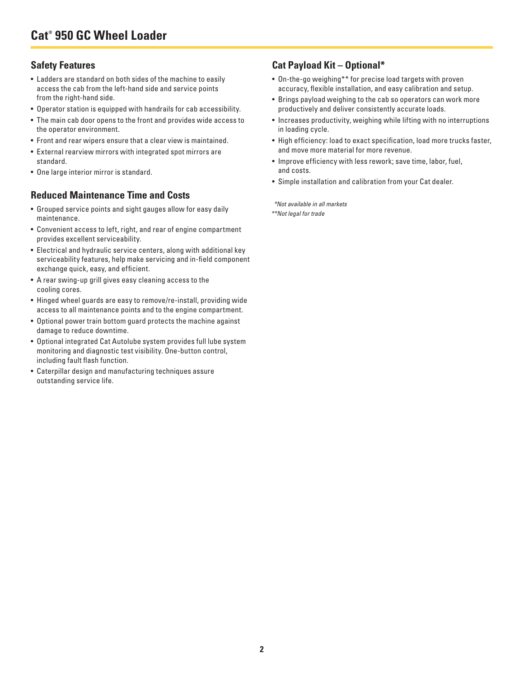## **Safety Features**

- Ladders are standard on both sides of the machine to easily access the cab from the left-hand side and service points from the right-hand side.
- Operator station is equipped with handrails for cab accessibility.
- The main cab door opens to the front and provides wide access to the operator environment.
- Front and rear wipers ensure that a clear view is maintained.
- External rearview mirrors with integrated spot mirrors are standard.
- One large interior mirror is standard.

#### **Reduced Maintenance Time and Costs**

- Grouped service points and sight gauges allow for easy daily maintenance.
- Convenient access to left, right, and rear of engine compartment provides excellent serviceability.
- Electrical and hydraulic service centers, along with additional key serviceability features, help make servicing and in-field component exchange quick, easy, and efficient.
- A rear swing-up grill gives easy cleaning access to the cooling cores.
- Hinged wheel guards are easy to remove/re-install, providing wide access to all maintenance points and to the engine compartment.
- Optional power train bottom guard protects the machine against damage to reduce downtime.
- Optional integrated Cat Autolube system provides full lube system monitoring and diagnostic test visibility. One-button control, including fault flash function.
- Caterpillar design and manufacturing techniques assure outstanding service life.

## **Cat Payload Kit – Optional\***

- On-the-go weighing\*\* for precise load targets with proven accuracy, flexible installation, and easy calibration and setup.
- Brings payload weighing to the cab so operators can work more productively and deliver consistently accurate loads.
- Increases productivity, weighing while lifting with no interruptions in loading cycle.
- High efficiency: load to exact specification, load more trucks faster, and move more material for more revenue.
- Improve efficiency with less rework; save time, labor, fuel, and costs.
- Simple installation and calibration from your Cat dealer.

*\*Not available in all markets*

*\*\*Not legal for trade*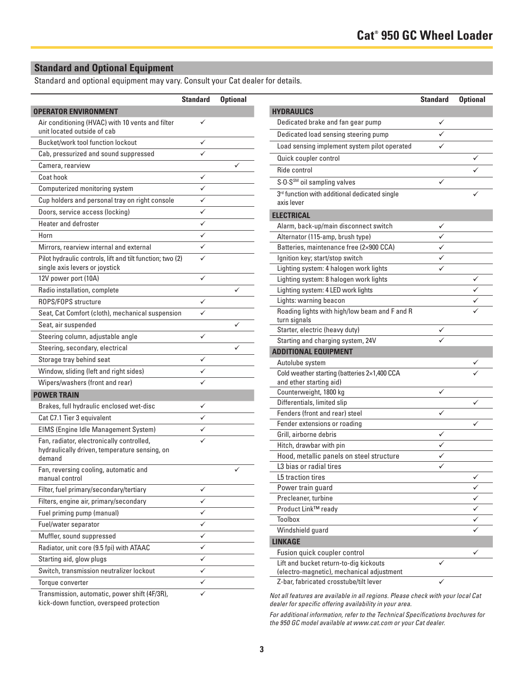## **Standard and Optional Equipment**

Standard and optional equipment may vary. Consult your Cat dealer for details.

|                                                                                                      | <b>Standard</b> | <b>Optional</b> |
|------------------------------------------------------------------------------------------------------|-----------------|-----------------|
| <b>OPERATOR ENVIRONMENT</b>                                                                          |                 |                 |
| Air conditioning (HVAC) with 10 vents and filter<br>unit located outside of cab                      |                 |                 |
| Bucket/work tool function lockout                                                                    |                 |                 |
| Cab, pressurized and sound suppressed                                                                |                 |                 |
| Camera, rearview                                                                                     |                 |                 |
| Coat hook                                                                                            |                 |                 |
| Computerized monitoring system                                                                       | ✓               |                 |
| Cup holders and personal tray on right console                                                       | ✓               |                 |
| Doors, service access (locking)                                                                      | ✓               |                 |
| <b>Heater and defroster</b>                                                                          |                 |                 |
| Horn                                                                                                 | ✓               |                 |
| Mirrors, rearview internal and external                                                              | ✓               |                 |
| Pilot hydraulic controls, lift and tilt function; two (2)<br>single axis levers or joystick          |                 |                 |
| 12V power port (10A)                                                                                 |                 |                 |
| Radio installation, complete                                                                         |                 |                 |
| ROPS/FOPS structure                                                                                  |                 |                 |
| Seat, Cat Comfort (cloth), mechanical suspension                                                     | ✓               |                 |
| Seat, air suspended                                                                                  |                 |                 |
| Steering column, adjustable angle                                                                    | ✓               |                 |
| Steering, secondary, electrical                                                                      |                 |                 |
| Storage tray behind seat                                                                             | ✓               |                 |
| Window, sliding (left and right sides)                                                               |                 |                 |
| Wipers/washers (front and rear)                                                                      |                 |                 |
| <b>POWER TRAIN</b>                                                                                   |                 |                 |
| Brakes, full hydraulic enclosed wet-disc                                                             |                 |                 |
| Cat C7.1 Tier 3 equivalent                                                                           |                 |                 |
| EIMS (Engine Idle Management System)                                                                 |                 |                 |
| Fan, radiator, electronically controlled,<br>hydraulically driven, temperature sensing, on<br>demand |                 |                 |
| Fan, reversing cooling, automatic and<br>manual control                                              |                 |                 |
| Filter, fuel primary/secondary/tertiary                                                              |                 |                 |
| Filters, engine air, primary/secondary                                                               |                 |                 |
| Fuel priming pump (manual)                                                                           |                 |                 |
| Fuel/water separator                                                                                 | ✓               |                 |
| Muffler, sound suppressed                                                                            |                 |                 |
| Radiator, unit core (9.5 fpi) with ATAAC                                                             |                 |                 |
| Starting aid, glow plugs                                                                             | ✓               |                 |
| Switch, transmission neutralizer lockout                                                             |                 |                 |
| Torque converter                                                                                     |                 |                 |
| Transmission, automatic, power shift (4F/3R),                                                        |                 |                 |

Transmission, automatic, power shift (4F/3R), kick-down function, overspeed protection

| <b>Standard</b> | <b>Optional</b> |                                                                                     | <b>Standard</b> | <b>Optional</b> |
|-----------------|-----------------|-------------------------------------------------------------------------------------|-----------------|-----------------|
|                 |                 | <b>HYDRAULICS</b>                                                                   |                 |                 |
| ✓               |                 | Dedicated brake and fan gear pump                                                   | ✓               |                 |
|                 |                 | Dedicated load sensing steering pump                                                | ✓               |                 |
| ✓               |                 | Load sensing implement system pilot operated                                        | ✓               |                 |
| ✓               |                 | Quick coupler control                                                               |                 | ✓               |
|                 | ✓               | Ride control                                                                        |                 |                 |
| ✓               |                 |                                                                                     |                 |                 |
| ✓               |                 | S.O.S <sup>SM</sup> oil sampling valves                                             | ✓               |                 |
| ✓               |                 | 3rd function with additional dedicated single<br>axis lever                         |                 |                 |
| ✓               |                 |                                                                                     |                 |                 |
| ✓               |                 | <b>ELECTRICAL</b>                                                                   |                 |                 |
| ✓               |                 | Alarm, back-up/main disconnect switch                                               | ✓               |                 |
|                 |                 | Alternator (115-amp, brush type)                                                    | ✓               |                 |
| ✓               |                 | Batteries, maintenance free (2×900 CCA)                                             | ✓               |                 |
| ✓               |                 | Ignition key; start/stop switch                                                     | ✓               |                 |
| $\checkmark$    |                 | Lighting system: 4 halogen work lights                                              | ✓               |                 |
|                 | ✓               | Lighting system: 8 halogen work lights<br>Lighting system: 4 LED work lights        |                 | ✓               |
|                 |                 |                                                                                     |                 |                 |
| ✓               |                 | Lights: warning beacon<br>Roading lights with high/low beam and F and R             |                 | ✓               |
| ✓               |                 | turn signals                                                                        |                 |                 |
|                 | ✓               | Starter, electric (heavy duty)                                                      |                 |                 |
| ✓               |                 | Starting and charging system, 24V                                                   |                 |                 |
|                 | ✓               | <b>ADDITIONAL EQUIPMENT</b>                                                         |                 |                 |
| ✓               |                 | Autolube system                                                                     |                 |                 |
| ✓               |                 | Cold weather starting (batteries 2×1,400 CCA                                        |                 |                 |
| ✓               |                 | and ether starting aid)                                                             |                 |                 |
|                 |                 | Counterweight, 1800 kg                                                              | ✓               |                 |
| ✓               |                 | Differentials, limited slip                                                         |                 | ✓               |
|                 |                 | Fenders (front and rear) steel                                                      | ✓               |                 |
| ✓               |                 | Fender extensions or roading                                                        |                 | ✓               |
|                 |                 | Grill, airborne debris                                                              | ✓               |                 |
|                 |                 | Hitch, drawbar with pin                                                             | ✓               |                 |
|                 |                 | Hood, metallic panels on steel structure                                            | ✓               |                 |
|                 |                 | L3 bias or radial tires                                                             | ✓               |                 |
|                 |                 | L5 traction tires                                                                   |                 | ∕               |
| ✓               |                 | Power train guard                                                                   |                 | ✓               |
| ✓               |                 | Precleaner, turbine                                                                 |                 | ✓               |
| ✓               |                 | Product Link™ ready                                                                 |                 | ✓               |
| ✓               |                 | Toolbox                                                                             |                 | ✓               |
| ✓               |                 | Windshield guard                                                                    |                 |                 |
| ✓               |                 | <b>LINKAGE</b>                                                                      |                 |                 |
| ✓               |                 | Fusion quick coupler control                                                        |                 | ✓               |
| ✓               |                 | Lift and bucket return-to-dig kickouts<br>(electro-magnetic), mechanical adjustment | ✓               |                 |
| ✓               |                 | Z-bar, fabricated crosstube/tilt lever                                              | ✓               |                 |
|                 |                 |                                                                                     |                 |                 |

*Not all features are available in all regions. Please check with your local Cat dealer for specific offering availability in your area.*

*For additional information, refer to the Technical Specifications brochures for the 950 GC model available at www.cat.com or your Cat dealer.*